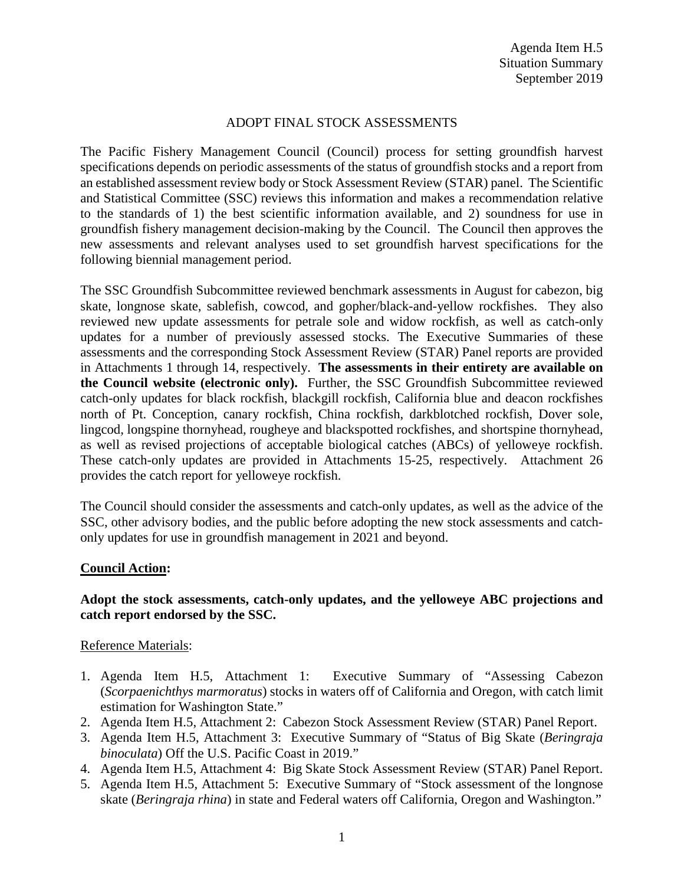## ADOPT FINAL STOCK ASSESSMENTS

The Pacific Fishery Management Council (Council) process for setting groundfish harvest specifications depends on periodic assessments of the status of groundfish stocks and a report from an established assessment review body or Stock Assessment Review (STAR) panel. The Scientific and Statistical Committee (SSC) reviews this information and makes a recommendation relative to the standards of 1) the best scientific information available, and 2) soundness for use in groundfish fishery management decision-making by the Council. The Council then approves the new assessments and relevant analyses used to set groundfish harvest specifications for the following biennial management period.

The SSC Groundfish Subcommittee reviewed benchmark assessments in August for cabezon, big skate, longnose skate, sablefish, cowcod, and gopher/black-and-yellow rockfishes. They also reviewed new update assessments for petrale sole and widow rockfish, as well as catch-only updates for a number of previously assessed stocks. The Executive Summaries of these assessments and the corresponding Stock Assessment Review (STAR) Panel reports are provided in Attachments 1 through 14, respectively. **The assessments in their entirety are available on the Council website (electronic only).** Further, the SSC Groundfish Subcommittee reviewed catch-only updates for black rockfish, blackgill rockfish, California blue and deacon rockfishes north of Pt. Conception, canary rockfish, China rockfish, darkblotched rockfish, Dover sole, lingcod, longspine thornyhead, rougheye and blackspotted rockfishes, and shortspine thornyhead, as well as revised projections of acceptable biological catches (ABCs) of yelloweye rockfish. These catch-only updates are provided in Attachments 15-25, respectively. Attachment 26 provides the catch report for yelloweye rockfish.

The Council should consider the assessments and catch-only updates, as well as the advice of the SSC, other advisory bodies, and the public before adopting the new stock assessments and catchonly updates for use in groundfish management in 2021 and beyond.

### **Council Action:**

## **Adopt the stock assessments, catch-only updates, and the yelloweye ABC projections and catch report endorsed by the SSC.**

### Reference Materials:

- 1. Agenda Item H.5, Attachment 1: Executive Summary of "Assessing Cabezon (*Scorpaenichthys marmoratus*) stocks in waters off of California and Oregon, with catch limit estimation for Washington State."
- 2. Agenda Item H.5, Attachment 2: Cabezon Stock Assessment Review (STAR) Panel Report.
- 3. Agenda Item H.5, Attachment 3: Executive Summary of "Status of Big Skate (*Beringraja binoculata*) Off the U.S. Pacific Coast in 2019."
- 4. Agenda Item H.5, Attachment 4: Big Skate Stock Assessment Review (STAR) Panel Report.
- 5. Agenda Item H.5, Attachment 5: Executive Summary of "Stock assessment of the longnose skate (*Beringraja rhina*) in state and Federal waters off California, Oregon and Washington."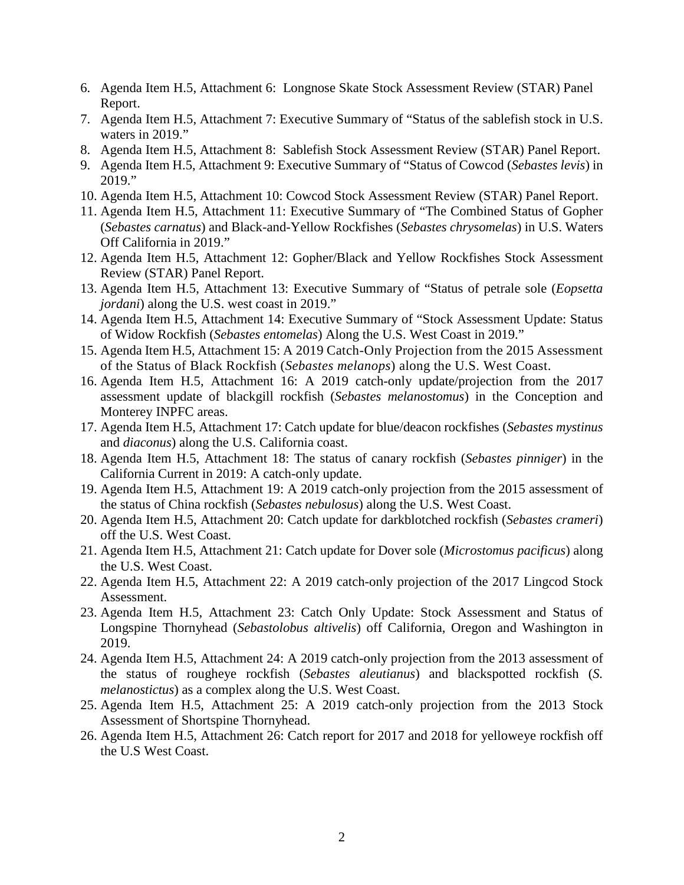- 6. Agenda Item H.5, Attachment 6: Longnose Skate Stock Assessment Review (STAR) Panel Report.
- 7. Agenda Item H.5, Attachment 7: Executive Summary of "Status of the sablefish stock in U.S. waters in 2019."
- 8. Agenda Item H.5, Attachment 8: Sablefish Stock Assessment Review (STAR) Panel Report.
- 9. Agenda Item H.5, Attachment 9: Executive Summary of "Status of Cowcod (*Sebastes levis*) in 2019."
- 10. Agenda Item H.5, Attachment 10: Cowcod Stock Assessment Review (STAR) Panel Report.
- 11. Agenda Item H.5, Attachment 11: Executive Summary of "The Combined Status of Gopher (*Sebastes carnatus*) and Black-and-Yellow Rockfishes (*Sebastes chrysomelas*) in U.S. Waters Off California in 2019."
- 12. Agenda Item H.5, Attachment 12: Gopher/Black and Yellow Rockfishes Stock Assessment Review (STAR) Panel Report.
- 13. Agenda Item H.5, Attachment 13: Executive Summary of "Status of petrale sole (*Eopsetta jordani*) along the U.S. west coast in 2019."
- 14. Agenda Item H.5, Attachment 14: Executive Summary of "Stock Assessment Update: Status of Widow Rockfish (*Sebastes entomelas*) Along the U.S. West Coast in 2019."
- 15. Agenda Item H.5, Attachment 15: A 2019 Catch-Only Projection from the 2015 Assessment of the Status of Black Rockfish (*Sebastes melanops*) along the U.S. West Coast.
- 16. Agenda Item H.5, Attachment 16: A 2019 catch-only update/projection from the 2017 assessment update of blackgill rockfish (*Sebastes melanostomus*) in the Conception and Monterey INPFC areas.
- 17. Agenda Item H.5, Attachment 17: Catch update for blue/deacon rockfishes (*Sebastes mystinus* and *diaconus*) along the U.S. California coast.
- 18. Agenda Item H.5, Attachment 18: The status of canary rockfish (*Sebastes pinniger*) in the California Current in 2019: A catch-only update.
- 19. Agenda Item H.5, Attachment 19: A 2019 catch-only projection from the 2015 assessment of the status of China rockfish (*Sebastes nebulosus*) along the U.S. West Coast.
- 20. Agenda Item H.5, Attachment 20: Catch update for darkblotched rockfish (*Sebastes crameri*) off the U.S. West Coast.
- 21. Agenda Item H.5, Attachment 21: Catch update for Dover sole (*Microstomus pacificus*) along the U.S. West Coast.
- 22. Agenda Item H.5, Attachment 22: A 2019 catch-only projection of the 2017 Lingcod Stock Assessment.
- 23. Agenda Item H.5, Attachment 23: Catch Only Update: Stock Assessment and Status of Longspine Thornyhead (*Sebastolobus altivelis*) off California, Oregon and Washington in 2019.
- 24. Agenda Item H.5, Attachment 24: A 2019 catch-only projection from the 2013 assessment of the status of rougheye rockfish (*Sebastes aleutianus*) and blackspotted rockfish (*S. melanostictus*) as a complex along the U.S. West Coast.
- 25. Agenda Item H.5, Attachment 25: A 2019 catch-only projection from the 2013 Stock Assessment of Shortspine Thornyhead.
- 26. Agenda Item H.5, Attachment 26: Catch report for 2017 and 2018 for yelloweye rockfish off the U.S West Coast.